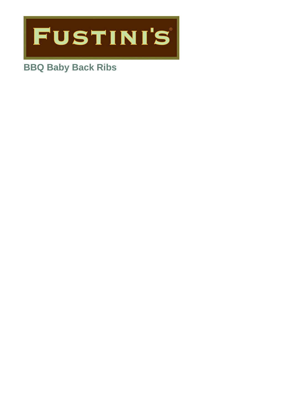

# **BBQ Baby Back Ribs**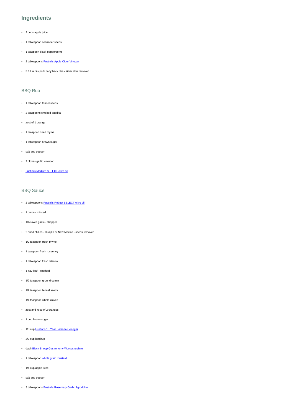### **Ingredients**

- 2 cups apple juice
- 1 tablespoon coriander seeds
- 1 teaspoon black peppercorns
- 2 tablespoons [Fustini's Apple Cider Vinegar](https://www.fustinis.com/order/apple-cider-vinegar-with-mother_431/)
- 3 full racks pork baby back ribs silver skin removed

### BBQ Rub

- 1 tablespoon fennel seeds
- 2 teaspoons smoked paprika
- zest of 1 orange
- 1 teaspoon dried thyme
- 1 tablespoon brown sugar
- salt and pepper
- 2 cloves garlic minced
- [Fustini's Medium SELECT olive oil](https://www.fustinis.com/order/category/oils/extra-virgin-olive-oils/medium_28/)

#### BBQ Sauce

- 2 tablespoons [Fustini's Robust SELECT olive oil](https://www.fustinis.com/order/category/oils/extra-virgin-olive-oils/robust_10/)
- 1 onion minced
- 10 cloves garlic chopped
- 2 dried chilies Guajillo or New Mexico seeds removed
- 1/2 teaspoon fresh thyme
- 1 teaspoon fresh rosemary
- 1 tablespoon fresh cilantro
- 1 bay leaf crushed
- 1/2 teaspoon ground cumin
- 1/2 teaspoon fennel seeds
- 1/4 teaspoon whole cloves
- zest and juice of 2 oranges
- 1 cup brown sugar
- 1/3 cup [Fustini's 18 Year Balsamic Vinegar](https://www.fustinis.com/order/18-year-traditional-balsamic-dark_5/)
- 2/3 cup ketchup
- dash [Black Sheep Gastronomy Worcestershire](https://www.fustinis.com/order/worcestershire-sauce_464/)
- 1 tablespoon [whole grain mustard](https://www.fustinis.com/order/whole-grain-mustard_1773/)
- 1/4 cup apple juice
- salt and pepper
- 3 tablespoons [Fustini's Rosemary Garlic Agrodolce](https://www.fustinis.com/order/agrodolce-rosemary-garlic_1942/)